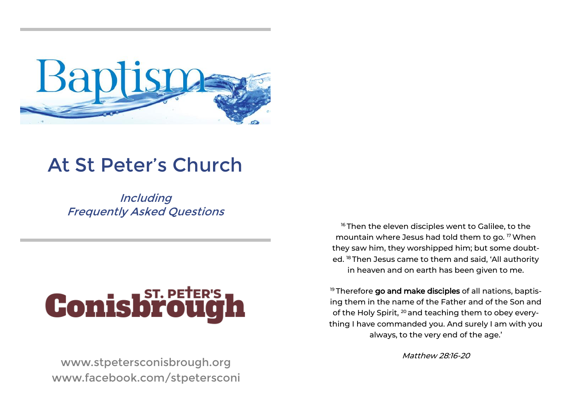

# At St Peter's Church

**Including** Frequently Asked Questions

# **Conisbrough**

www.stpetersconisbrough.org www.facebook.com/stpetersconi

<sup>16</sup> Then the eleven disciples went to Galilee, to the mountain where Jesus had told them to go. <sup>17</sup>When they saw him, they worshipped him; but some doubted. <sup>18</sup> Then Jesus came to them and said, 'All authority in heaven and on earth has been given to me.

<sup>19</sup> Therefore go and make disciples of all nations, baptising them in the name of the Father and of the Son and of the Holy Spirit, <sup>20</sup> and teaching them to obey everything I have commanded you. And surely I am with you always, to the very end of the age.'

Matthew 28:16-20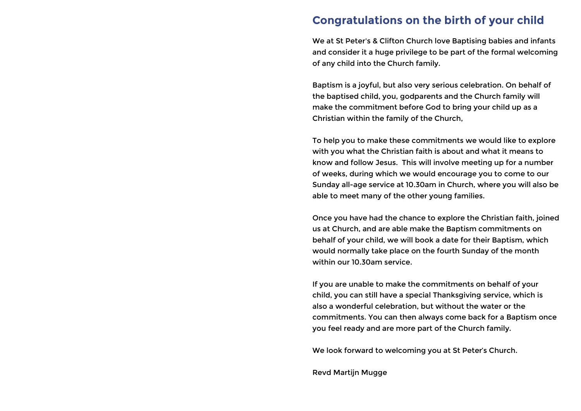# **Congratulations on the birth of your child**

We at St Peter's & Clifton Church love Baptising babies and infants and consider it a huge privilege to be part of the formal welcoming of any child into the Church family.

Baptism is a joyful, but also very serious celebration. On behalf of the baptised child, you, godparents and the Church family will make the commitment before God to bring your child up as a Christian within the family of the Church,

To help you to make these commitments we would like to explore with you what the Christian faith is about and what it means to know and follow Jesus. This will involve meeting up for a number of weeks, during which we would encourage you to come to our Sunday all-age service at 10.30am in Church, where you will also be able to meet many of the other young families.

Once you have had the chance to explore the Christian faith, joined us at Church, and are able make the Baptism commitments on behalf of your child, we will book a date for their Baptism, which would normally take place on the fourth Sunday of the month within our 10.30am service.

If you are unable to make the commitments on behalf of your child, you can still have a special Thanksgiving service, which is also a wonderful celebration, but without the water or the commitments. You can then always come back for a Baptism once you feel ready and are more part of the Church family.

We look forward to welcoming you at St Peter's Church.

Revd Martijn Mugge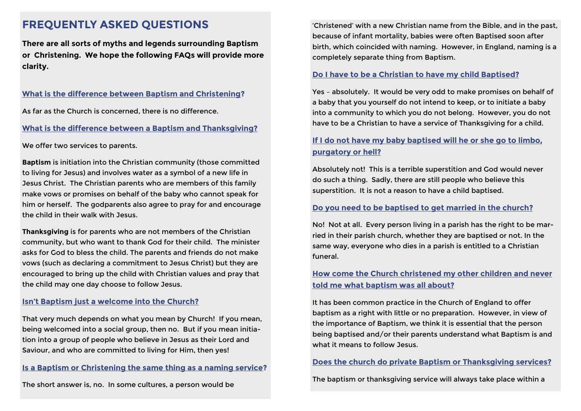# **FREQUENTLY ASKED QUESTIONS**

**There are all sorts of myths and legends surrounding Baptism or Christening. We hope the following FAQs will provide more clarity.**

# **What is the difference between Baptism and Christening?**

As far as the Church is concerned, there is no difference.

#### **What is the difference between a Baptism and Thanksgiving?**

We offer two services to parents.

**Baptism** is initiation into the Christian community (those committed to living for Jesus) and involves water as a symbol of a new life in Jesus Christ. The Christian parents who are members of this family make vows or promises on behalf of the baby who cannot speak for him or herself. The godparents also agree to pray for and encourage the child in their walk with Jesus.

**Thanksgiving** is for parents who are not members of the Christian community, but who want to thank God for their child. The minister asks for God to bless the child. The parents and friends do not make vows (such as declaring a commitment to Jesus Christ) but they are encouraged to bring up the child with Christian values and pray that the child may one day choose to follow Jesus.

### **Isn't Baptism just a welcome into the Church?**

That very much depends on what you mean by Church! If you mean, being welcomed into a social group, then no. But if you mean initiation into a group of people who believe in Jesus as their Lord and Saviour, and who are committed to living for Him, then yes!

### **Is a Baptism or Christening the same thing as a naming service?**

The short answer is, no. In some cultures, a person would be

'Christened' with a new Christian name from the Bible, and in the past, because of infant mortality, babies were often Baptised soon after birth, which coincided with naming. However, in England, naming is a completely separate thing from Baptism.

#### **Do I have to be a Christian to have my child Baptised?**

Yes – absolutely. It would be very odd to make promises on behalf of a baby that you yourself do not intend to keep, or to initiate a baby into a community to which you do not belong. However, you do not have to be a Christian to have a service of Thanksgiving for a child.

# **If I do not have my baby baptised will he or she go to limbo, purgatory or hell?**

Absolutely not! This is a terrible superstition and God would never do such a thing. Sadly, there are still people who believe this superstition. It is not a reason to have a child baptised.

### **Do you need to be baptised to get married in the church?**

No! Not at all. Every person living in a parish has the right to be married in their parish church, whether they are baptised or not. In the same way, everyone who dies in a parish is entitled to a Christian funeral.

# **How come the Church christened my other children and never told me what baptism was all about?**

It has been common practice in the Church of England to offer baptism as a right with little or no preparation. However, in view of the importance of Baptism, we think it is essential that the person being baptised and/or their parents understand what Baptism is and what it means to follow Jesus.

#### **Does the church do private Baptism or Thanksgiving services?**

The baptism or thanksgiving service will always take place within a